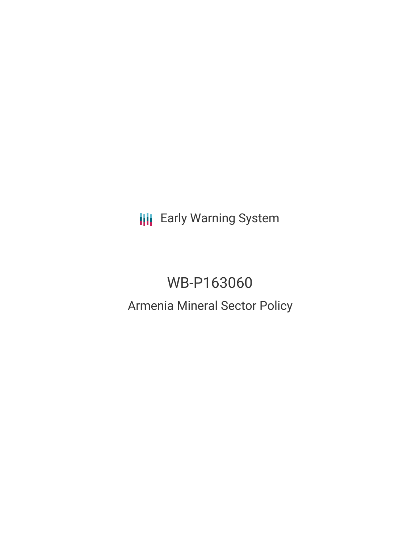**III** Early Warning System

# WB-P163060 Armenia Mineral Sector Policy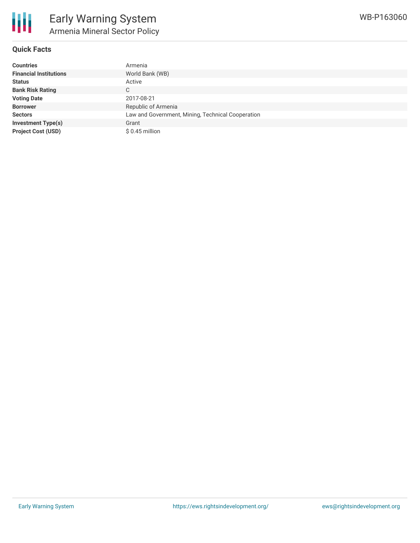

#### **Quick Facts**

| <b>Countries</b>              | Armenia                                           |
|-------------------------------|---------------------------------------------------|
| <b>Financial Institutions</b> | World Bank (WB)                                   |
| <b>Status</b>                 | Active                                            |
| <b>Bank Risk Rating</b>       | C.                                                |
| <b>Voting Date</b>            | 2017-08-21                                        |
| <b>Borrower</b>               | Republic of Armenia                               |
| <b>Sectors</b>                | Law and Government, Mining, Technical Cooperation |
| <b>Investment Type(s)</b>     | Grant                                             |
| <b>Project Cost (USD)</b>     | $$0.45$ million                                   |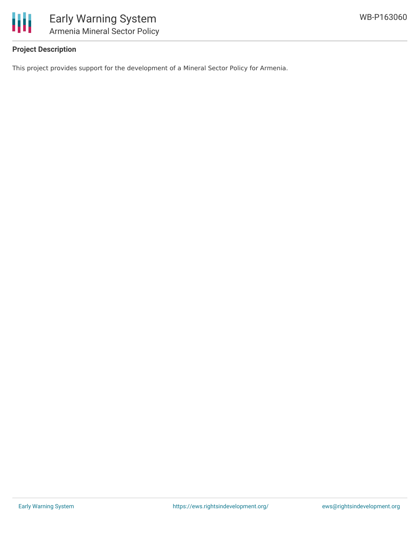

### **Project Description**

This project provides support for the development of a Mineral Sector Policy for Armenia.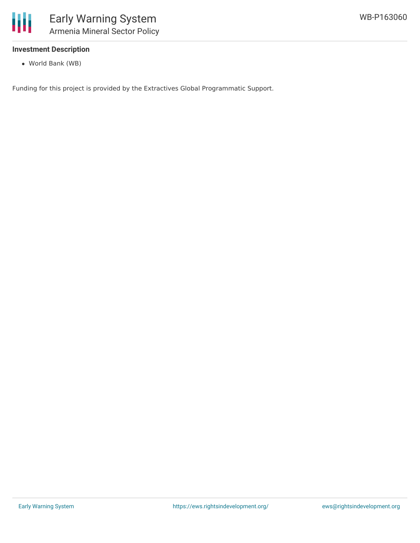

#### **Investment Description**

World Bank (WB)

Funding for this project is provided by the Extractives Global Programmatic Support.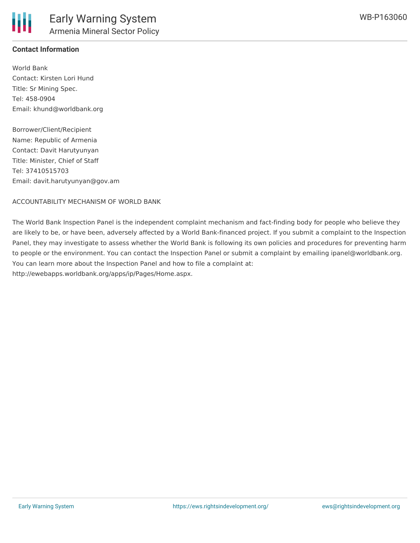#### **Contact Information**

World Bank Contact: Kirsten Lori Hund Title: Sr Mining Spec. Tel: 458-0904 Email: khund@worldbank.org

Borrower/Client/Recipient Name: Republic of Armenia Contact: Davit Harutyunyan Title: Minister, Chief of Staff Tel: 37410515703 Email: davit.harutyunyan@gov.am

ACCOUNTABILITY MECHANISM OF WORLD BANK

The World Bank Inspection Panel is the independent complaint mechanism and fact-finding body for people who believe they are likely to be, or have been, adversely affected by a World Bank-financed project. If you submit a complaint to the Inspection Panel, they may investigate to assess whether the World Bank is following its own policies and procedures for preventing harm to people or the environment. You can contact the Inspection Panel or submit a complaint by emailing ipanel@worldbank.org. You can learn more about the Inspection Panel and how to file a complaint at: http://ewebapps.worldbank.org/apps/ip/Pages/Home.aspx.